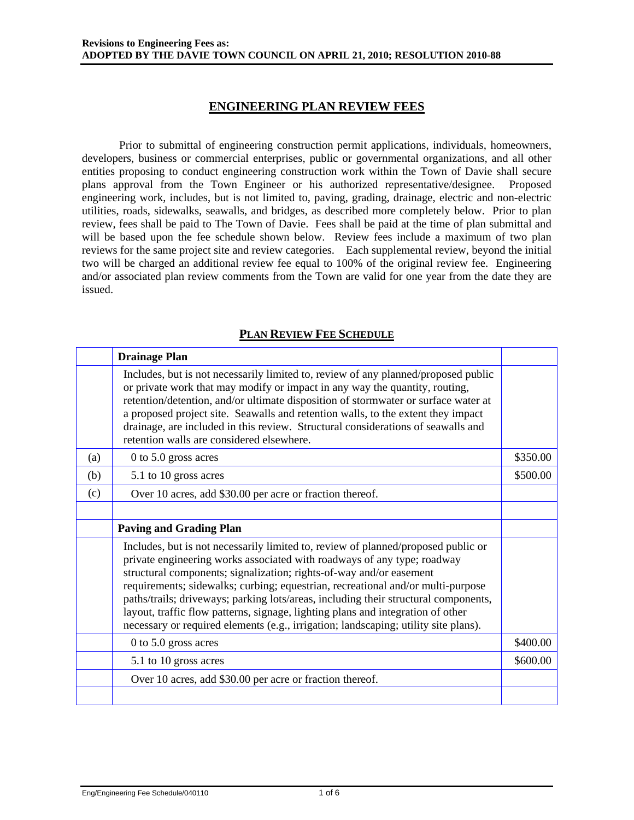### **ENGINEERING PLAN REVIEW FEES**

Prior to submittal of engineering construction permit applications, individuals, homeowners, developers, business or commercial enterprises, public or governmental organizations, and all other entities proposing to conduct engineering construction work within the Town of Davie shall secure plans approval from the Town Engineer or his authorized representative/designee. Proposed engineering work, includes, but is not limited to, paving, grading, drainage, electric and non-electric utilities, roads, sidewalks, seawalls, and bridges, as described more completely below. Prior to plan review, fees shall be paid to The Town of Davie. Fees shall be paid at the time of plan submittal and will be based upon the fee schedule shown below. Review fees include a maximum of two plan reviews for the same project site and review categories. Each supplemental review, beyond the initial two will be charged an additional review fee equal to 100% of the original review fee. Engineering and/or associated plan review comments from the Town are valid for one year from the date they are issued.

|     | <b>Drainage Plan</b>                                                                                                                                                                                                                                                                                                                                                                                                                                                                                                                                                                    |          |
|-----|-----------------------------------------------------------------------------------------------------------------------------------------------------------------------------------------------------------------------------------------------------------------------------------------------------------------------------------------------------------------------------------------------------------------------------------------------------------------------------------------------------------------------------------------------------------------------------------------|----------|
|     | Includes, but is not necessarily limited to, review of any planned/proposed public<br>or private work that may modify or impact in any way the quantity, routing,<br>retention/detention, and/or ultimate disposition of stormwater or surface water at<br>a proposed project site. Seawalls and retention walls, to the extent they impact<br>drainage, are included in this review. Structural considerations of seawalls and<br>retention walls are considered elsewhere.                                                                                                            |          |
| (a) | $0$ to 5.0 gross acres                                                                                                                                                                                                                                                                                                                                                                                                                                                                                                                                                                  | \$350.00 |
| (b) | 5.1 to 10 gross acres                                                                                                                                                                                                                                                                                                                                                                                                                                                                                                                                                                   | \$500.00 |
| (c) | Over 10 acres, add \$30.00 per acre or fraction thereof.                                                                                                                                                                                                                                                                                                                                                                                                                                                                                                                                |          |
|     |                                                                                                                                                                                                                                                                                                                                                                                                                                                                                                                                                                                         |          |
|     | <b>Paving and Grading Plan</b>                                                                                                                                                                                                                                                                                                                                                                                                                                                                                                                                                          |          |
|     | Includes, but is not necessarily limited to, review of planned/proposed public or<br>private engineering works associated with roadways of any type; roadway<br>structural components; signalization; rights-of-way and/or easement<br>requirements; sidewalks; curbing; equestrian, recreational and/or multi-purpose<br>paths/trails; driveways; parking lots/areas, including their structural components,<br>layout, traffic flow patterns, signage, lighting plans and integration of other<br>necessary or required elements (e.g., irrigation; landscaping; utility site plans). |          |
|     | 0 to 5.0 gross acres                                                                                                                                                                                                                                                                                                                                                                                                                                                                                                                                                                    | \$400.00 |
|     | 5.1 to 10 gross acres                                                                                                                                                                                                                                                                                                                                                                                                                                                                                                                                                                   | \$600.00 |
|     | Over 10 acres, add \$30.00 per acre or fraction thereof.                                                                                                                                                                                                                                                                                                                                                                                                                                                                                                                                |          |
|     |                                                                                                                                                                                                                                                                                                                                                                                                                                                                                                                                                                                         |          |

#### **PLAN REVIEW FEE SCHEDULE**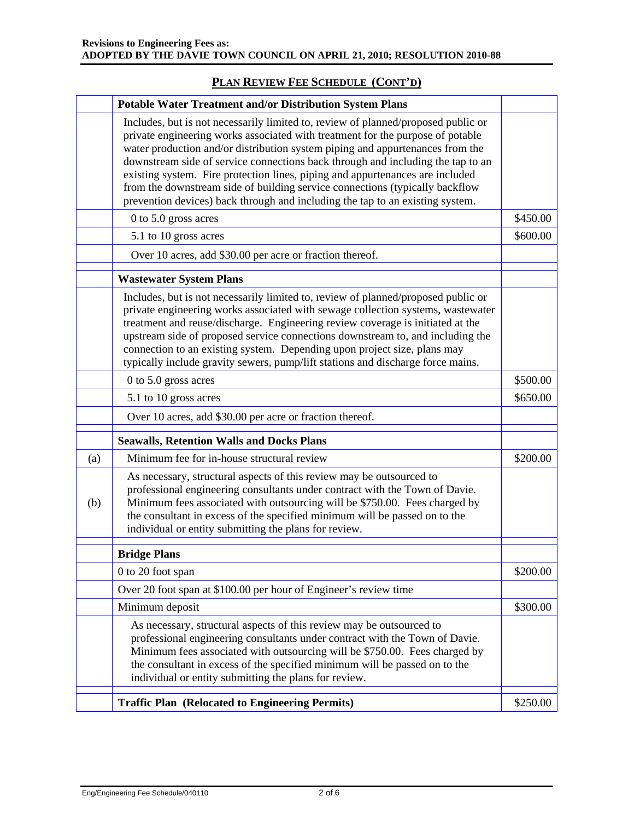# **PLAN REVIEW FEE SCHEDULE (CONT'D)**

|     | <b>Potable Water Treatment and/or Distribution System Plans</b>                                                                                                                                                                                                                                                                                                                                                                                                                                                                                                                           |          |
|-----|-------------------------------------------------------------------------------------------------------------------------------------------------------------------------------------------------------------------------------------------------------------------------------------------------------------------------------------------------------------------------------------------------------------------------------------------------------------------------------------------------------------------------------------------------------------------------------------------|----------|
|     | Includes, but is not necessarily limited to, review of planned/proposed public or<br>private engineering works associated with treatment for the purpose of potable<br>water production and/or distribution system piping and appurtenances from the<br>downstream side of service connections back through and including the tap to an<br>existing system. Fire protection lines, piping and appurtenances are included<br>from the downstream side of building service connections (typically backflow<br>prevention devices) back through and including the tap to an existing system. |          |
|     | 0 to 5.0 gross acres                                                                                                                                                                                                                                                                                                                                                                                                                                                                                                                                                                      | \$450.00 |
|     | 5.1 to 10 gross acres                                                                                                                                                                                                                                                                                                                                                                                                                                                                                                                                                                     | \$600.00 |
|     | Over 10 acres, add \$30.00 per acre or fraction thereof.                                                                                                                                                                                                                                                                                                                                                                                                                                                                                                                                  |          |
|     | <b>Wastewater System Plans</b>                                                                                                                                                                                                                                                                                                                                                                                                                                                                                                                                                            |          |
|     | Includes, but is not necessarily limited to, review of planned/proposed public or<br>private engineering works associated with sewage collection systems, wastewater<br>treatment and reuse/discharge. Engineering review coverage is initiated at the<br>upstream side of proposed service connections downstream to, and including the<br>connection to an existing system. Depending upon project size, plans may<br>typically include gravity sewers, pump/lift stations and discharge force mains.                                                                                   |          |
|     | 0 to 5.0 gross acres                                                                                                                                                                                                                                                                                                                                                                                                                                                                                                                                                                      | \$500.00 |
|     | 5.1 to 10 gross acres                                                                                                                                                                                                                                                                                                                                                                                                                                                                                                                                                                     | \$650.00 |
|     | Over 10 acres, add \$30.00 per acre or fraction thereof.                                                                                                                                                                                                                                                                                                                                                                                                                                                                                                                                  |          |
|     | <b>Seawalls, Retention Walls and Docks Plans</b>                                                                                                                                                                                                                                                                                                                                                                                                                                                                                                                                          |          |
| (a) | Minimum fee for in-house structural review                                                                                                                                                                                                                                                                                                                                                                                                                                                                                                                                                | \$200.00 |
| (b) | As necessary, structural aspects of this review may be outsourced to<br>professional engineering consultants under contract with the Town of Davie.<br>Minimum fees associated with outsourcing will be \$750.00. Fees charged by<br>the consultant in excess of the specified minimum will be passed on to the<br>individual or entity submitting the plans for review.                                                                                                                                                                                                                  |          |
|     | <b>Bridge Plans</b>                                                                                                                                                                                                                                                                                                                                                                                                                                                                                                                                                                       |          |
|     | 0 to 20 foot span                                                                                                                                                                                                                                                                                                                                                                                                                                                                                                                                                                         | \$200.00 |
|     | Over 20 foot span at \$100.00 per hour of Engineer's review time                                                                                                                                                                                                                                                                                                                                                                                                                                                                                                                          |          |
|     | Minimum deposit                                                                                                                                                                                                                                                                                                                                                                                                                                                                                                                                                                           | \$300.00 |
|     | As necessary, structural aspects of this review may be outsourced to<br>professional engineering consultants under contract with the Town of Davie.<br>Minimum fees associated with outsourcing will be \$750.00. Fees charged by<br>the consultant in excess of the specified minimum will be passed on to the<br>individual or entity submitting the plans for review.                                                                                                                                                                                                                  |          |
|     | <b>Traffic Plan (Relocated to Engineering Permits)</b>                                                                                                                                                                                                                                                                                                                                                                                                                                                                                                                                    | \$250.00 |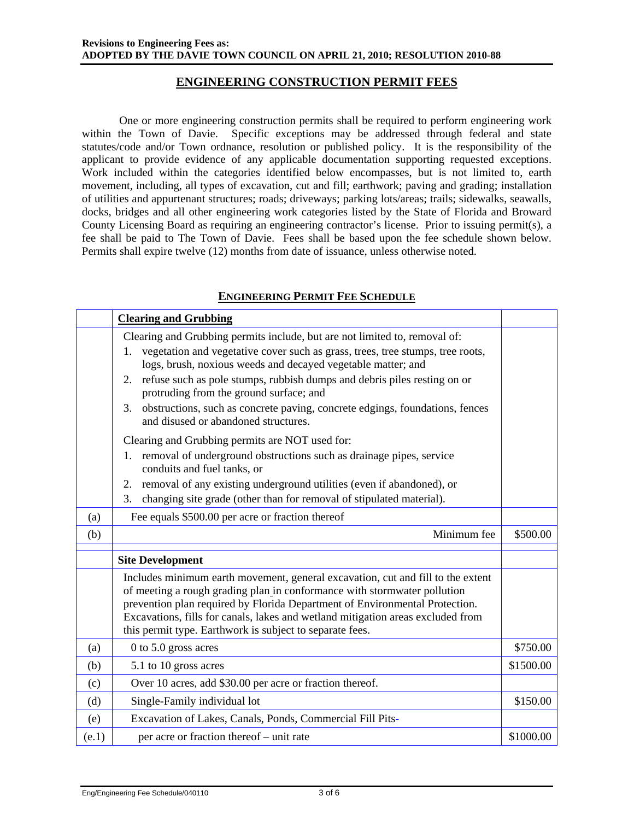### **ENGINEERING CONSTRUCTION PERMIT FEES**

One or more engineering construction permits shall be required to perform engineering work within the Town of Davie. Specific exceptions may be addressed through federal and state statutes/code and/or Town ordnance, resolution or published policy. It is the responsibility of the applicant to provide evidence of any applicable documentation supporting requested exceptions. Work included within the categories identified below encompasses, but is not limited to, earth movement, including, all types of excavation, cut and fill; earthwork; paving and grading; installation of utilities and appurtenant structures; roads; driveways; parking lots/areas; trails; sidewalks, seawalls, docks, bridges and all other engineering work categories listed by the State of Florida and Broward County Licensing Board as requiring an engineering contractor's license. Prior to issuing permit(s), a fee shall be paid to The Town of Davie. Fees shall be based upon the fee schedule shown below. Permits shall expire twelve (12) months from date of issuance, unless otherwise noted.

### **ENGINEERING PERMIT FEE SCHEDULE**

|     | <b>Clearing and Grubbing</b>                                                                                                                                                                                                                                                                                                                                                              |           |
|-----|-------------------------------------------------------------------------------------------------------------------------------------------------------------------------------------------------------------------------------------------------------------------------------------------------------------------------------------------------------------------------------------------|-----------|
|     | Clearing and Grubbing permits include, but are not limited to, removal of:                                                                                                                                                                                                                                                                                                                |           |
|     | vegetation and vegetative cover such as grass, trees, tree stumps, tree roots,<br>1.<br>logs, brush, noxious weeds and decayed vegetable matter; and                                                                                                                                                                                                                                      |           |
|     | refuse such as pole stumps, rubbish dumps and debris piles resting on or<br>2.<br>protruding from the ground surface; and                                                                                                                                                                                                                                                                 |           |
|     | obstructions, such as concrete paving, concrete edgings, foundations, fences<br>3.<br>and disused or abandoned structures.                                                                                                                                                                                                                                                                |           |
|     | Clearing and Grubbing permits are NOT used for:                                                                                                                                                                                                                                                                                                                                           |           |
|     | removal of underground obstructions such as drainage pipes, service<br>1.<br>conduits and fuel tanks, or                                                                                                                                                                                                                                                                                  |           |
|     | removal of any existing underground utilities (even if abandoned), or<br>2.                                                                                                                                                                                                                                                                                                               |           |
|     | changing site grade (other than for removal of stipulated material).<br>3.                                                                                                                                                                                                                                                                                                                |           |
| (a) | Fee equals \$500.00 per acre or fraction thereof                                                                                                                                                                                                                                                                                                                                          |           |
|     |                                                                                                                                                                                                                                                                                                                                                                                           |           |
| (b) | Minimum fee                                                                                                                                                                                                                                                                                                                                                                               | \$500.00  |
|     | <b>Site Development</b>                                                                                                                                                                                                                                                                                                                                                                   |           |
|     | Includes minimum earth movement, general excavation, cut and fill to the extent<br>of meeting a rough grading plan in conformance with stormwater pollution<br>prevention plan required by Florida Department of Environmental Protection.<br>Excavations, fills for canals, lakes and wetland mitigation areas excluded from<br>this permit type. Earthwork is subject to separate fees. |           |
| (a) | 0 to 5.0 gross acres                                                                                                                                                                                                                                                                                                                                                                      | \$750.00  |
| (b) | 5.1 to 10 gross acres                                                                                                                                                                                                                                                                                                                                                                     | \$1500.00 |
| (c) | Over 10 acres, add \$30.00 per acre or fraction thereof.                                                                                                                                                                                                                                                                                                                                  |           |
| (d) | Single-Family individual lot                                                                                                                                                                                                                                                                                                                                                              | \$150.00  |
| (e) | Excavation of Lakes, Canals, Ponds, Commercial Fill Pits-                                                                                                                                                                                                                                                                                                                                 |           |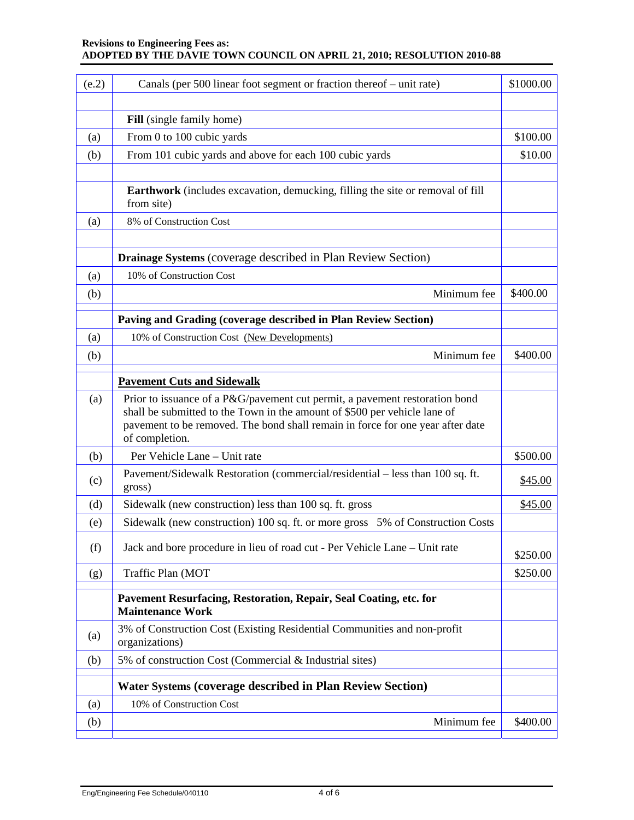#### **Revisions to Engineering Fees as: ADOPTED BY THE DAVIE TOWN COUNCIL ON APRIL 21, 2010; RESOLUTION 2010-88**

| (e.2) | Canals (per 500 linear foot segment or fraction thereof – unit rate)                                                                                                                                                                                         | \$1000.00 |
|-------|--------------------------------------------------------------------------------------------------------------------------------------------------------------------------------------------------------------------------------------------------------------|-----------|
|       |                                                                                                                                                                                                                                                              |           |
|       | Fill (single family home)                                                                                                                                                                                                                                    |           |
| (a)   | From 0 to 100 cubic yards                                                                                                                                                                                                                                    | \$100.00  |
| (b)   | From 101 cubic yards and above for each 100 cubic yards                                                                                                                                                                                                      | \$10.00   |
|       |                                                                                                                                                                                                                                                              |           |
|       | Earthwork (includes excavation, demucking, filling the site or removal of fill<br>from site)                                                                                                                                                                 |           |
| (a)   | 8% of Construction Cost                                                                                                                                                                                                                                      |           |
|       |                                                                                                                                                                                                                                                              |           |
|       | Drainage Systems (coverage described in Plan Review Section)                                                                                                                                                                                                 |           |
| (a)   | 10% of Construction Cost                                                                                                                                                                                                                                     |           |
| (b)   | Minimum fee                                                                                                                                                                                                                                                  | \$400.00  |
|       | Paving and Grading (coverage described in Plan Review Section)                                                                                                                                                                                               |           |
| (a)   | 10% of Construction Cost (New Developments)                                                                                                                                                                                                                  |           |
| (b)   | Minimum fee                                                                                                                                                                                                                                                  | \$400.00  |
|       |                                                                                                                                                                                                                                                              |           |
|       | <b>Pavement Cuts and Sidewalk</b>                                                                                                                                                                                                                            |           |
| (a)   | Prior to issuance of a P&G/pavement cut permit, a pavement restoration bond<br>shall be submitted to the Town in the amount of \$500 per vehicle lane of<br>pavement to be removed. The bond shall remain in force for one year after date<br>of completion. |           |
| (b)   | Per Vehicle Lane - Unit rate                                                                                                                                                                                                                                 | \$500.00  |
| (c)   | Pavement/Sidewalk Restoration (commercial/residential – less than 100 sq. ft.<br>gross)                                                                                                                                                                      | \$45.00   |
| (d)   | Sidewalk (new construction) less than 100 sq. ft. gross                                                                                                                                                                                                      | \$45.00   |
| (e)   | Sidewalk (new construction) 100 sq. ft. or more gross<br>5% of Construction Costs                                                                                                                                                                            |           |
| (f)   | Jack and bore procedure in lieu of road cut - Per Vehicle Lane - Unit rate                                                                                                                                                                                   | \$250.00  |
| (g)   | Traffic Plan (MOT                                                                                                                                                                                                                                            | \$250.00  |
|       |                                                                                                                                                                                                                                                              |           |
|       | Pavement Resurfacing, Restoration, Repair, Seal Coating, etc. for<br><b>Maintenance Work</b>                                                                                                                                                                 |           |
| (a)   | 3% of Construction Cost (Existing Residential Communities and non-profit<br>organizations)                                                                                                                                                                   |           |
| (b)   | 5% of construction Cost (Commercial & Industrial sites)                                                                                                                                                                                                      |           |
|       | <b>Water Systems (coverage described in Plan Review Section)</b>                                                                                                                                                                                             |           |
| (a)   | 10% of Construction Cost                                                                                                                                                                                                                                     |           |
| (b)   | Minimum fee                                                                                                                                                                                                                                                  | \$400.00  |
|       |                                                                                                                                                                                                                                                              |           |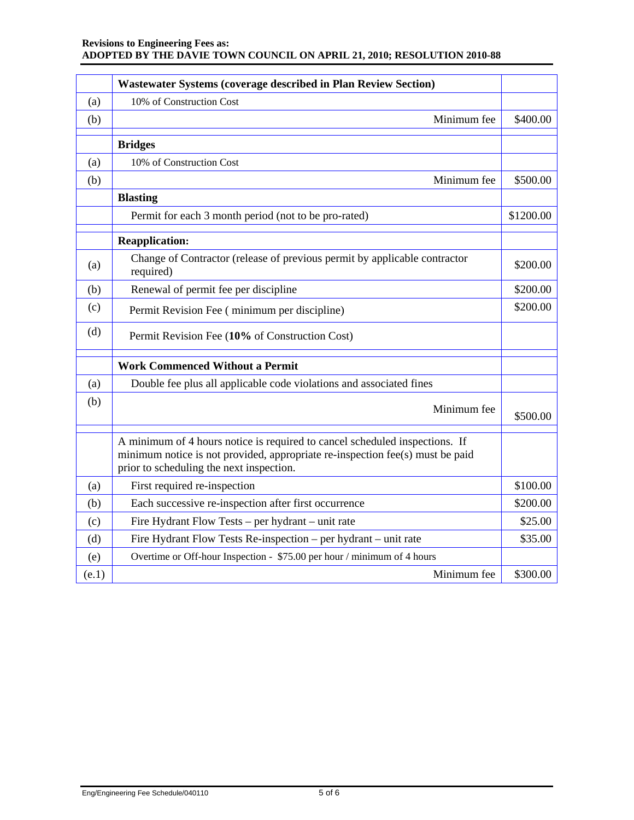#### **Revisions to Engineering Fees as: ADOPTED BY THE DAVIE TOWN COUNCIL ON APRIL 21, 2010; RESOLUTION 2010-88**

|       | <b>Wastewater Systems (coverage described in Plan Review Section)</b>                                                                                                                                    |           |
|-------|----------------------------------------------------------------------------------------------------------------------------------------------------------------------------------------------------------|-----------|
| (a)   | 10% of Construction Cost                                                                                                                                                                                 |           |
| (b)   | Minimum fee                                                                                                                                                                                              | \$400.00  |
|       | <b>Bridges</b>                                                                                                                                                                                           |           |
| (a)   | 10% of Construction Cost                                                                                                                                                                                 |           |
| (b)   | Minimum fee                                                                                                                                                                                              | \$500.00  |
|       | <b>Blasting</b>                                                                                                                                                                                          |           |
|       | Permit for each 3 month period (not to be pro-rated)                                                                                                                                                     | \$1200.00 |
|       | <b>Reapplication:</b>                                                                                                                                                                                    |           |
| (a)   | Change of Contractor (release of previous permit by applicable contractor<br>required)                                                                                                                   | \$200.00  |
| (b)   | Renewal of permit fee per discipline                                                                                                                                                                     | \$200.00  |
| (c)   | Permit Revision Fee (minimum per discipline)                                                                                                                                                             | \$200.00  |
| (d)   | Permit Revision Fee (10% of Construction Cost)                                                                                                                                                           |           |
|       | <b>Work Commenced Without a Permit</b>                                                                                                                                                                   |           |
| (a)   | Double fee plus all applicable code violations and associated fines                                                                                                                                      |           |
| (b)   | Minimum fee                                                                                                                                                                                              | \$500.00  |
|       | A minimum of 4 hours notice is required to cancel scheduled inspections. If<br>minimum notice is not provided, appropriate re-inspection fee(s) must be paid<br>prior to scheduling the next inspection. |           |
| (a)   | First required re-inspection                                                                                                                                                                             | \$100.00  |
| (b)   | Each successive re-inspection after first occurrence                                                                                                                                                     | \$200.00  |
| (c)   | Fire Hydrant Flow Tests - per hydrant - unit rate                                                                                                                                                        | \$25.00   |
| (d)   | Fire Hydrant Flow Tests Re-inspection – per hydrant – unit rate                                                                                                                                          | \$35.00   |
| (e)   | Overtime or Off-hour Inspection - \$75.00 per hour / minimum of 4 hours                                                                                                                                  |           |
| (e.1) | Minimum fee                                                                                                                                                                                              | \$300.00  |